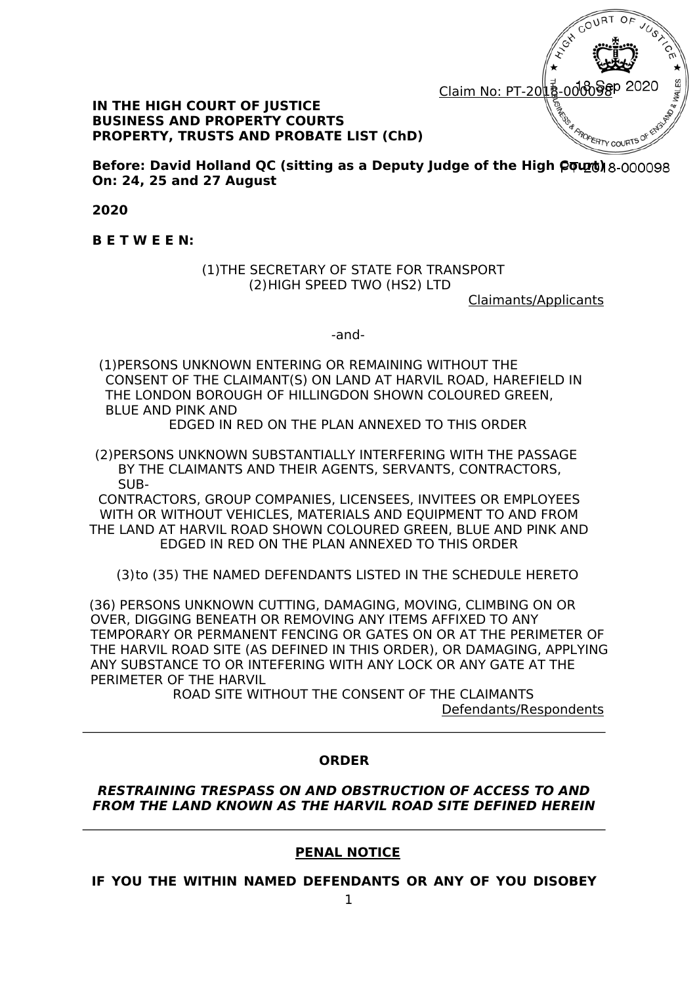

#### **IN THE HIGH COURT OF JUSTICE BUSINESS AND PROPERTY COURTS PROPERTY, TRUSTS AND PROBATE LIST (ChD)**

**Before: David Holland QC (sitting as a Deputy Judge of the High**  $Q$  $Q$ **<sub>00098</sub> On: 24, 25 and 27 August** 

**2020** 

**B E T W E E N:**

(1)THE SECRETARY OF STATE FOR TRANSPORT (2)HIGH SPEED TWO (HS2) LTD

Claimants/Applicants

-and-

(1)PERSONS UNKNOWN ENTERING OR REMAINING WITHOUT THE CONSENT OF THE CLAIMANT(S) ON LAND AT HARVIL ROAD, HAREFIELD IN THE LONDON BOROUGH OF HILLINGDON SHOWN COLOURED GREEN, BLUE AND PINK AND

EDGED IN RED ON THE PLAN ANNEXED TO THIS ORDER

(2)PERSONS UNKNOWN SUBSTANTIALLY INTERFERING WITH THE PASSAGE BY THE CLAIMANTS AND THEIR AGENTS, SERVANTS, CONTRACTORS, SUB-

CONTRACTORS, GROUP COMPANIES, LICENSEES, INVITEES OR EMPLOYEES WITH OR WITHOUT VEHICLES, MATERIALS AND EQUIPMENT TO AND FROM THE LAND AT HARVIL ROAD SHOWN COLOURED GREEN, BLUE AND PINK AND EDGED IN RED ON THE PLAN ANNEXED TO THIS ORDER

(3)to (35) THE NAMED DEFENDANTS LISTED IN THE SCHEDULE HERETO

(36) PERSONS UNKNOWN CUTTING, DAMAGING, MOVING, CLIMBING ON OR OVER, DIGGING BENEATH OR REMOVING ANY ITEMS AFFIXED TO ANY TEMPORARY OR PERMANENT FENCING OR GATES ON OR AT THE PERIMETER OF THE HARVIL ROAD SITE (AS DEFINED IN THIS ORDER), OR DAMAGING, APPLYING ANY SUBSTANCE TO OR INTEFERING WITH ANY LOCK OR ANY GATE AT THE PERIMETER OF THE HARVIL

ROAD SITE WITHOUT THE CONSENT OF THE CLAIMANTS Defendants/Respondents

#### **ORDER**

#### *RESTRAINING TRESPASS ON AND OBSTRUCTION OF ACCESS TO AND FROM THE LAND KNOWN AS THE HARVIL ROAD SITE DEFINED HEREIN*

#### **PENAL NOTICE**

**IF YOU THE WITHIN NAMED DEFENDANTS OR ANY OF YOU DISOBEY**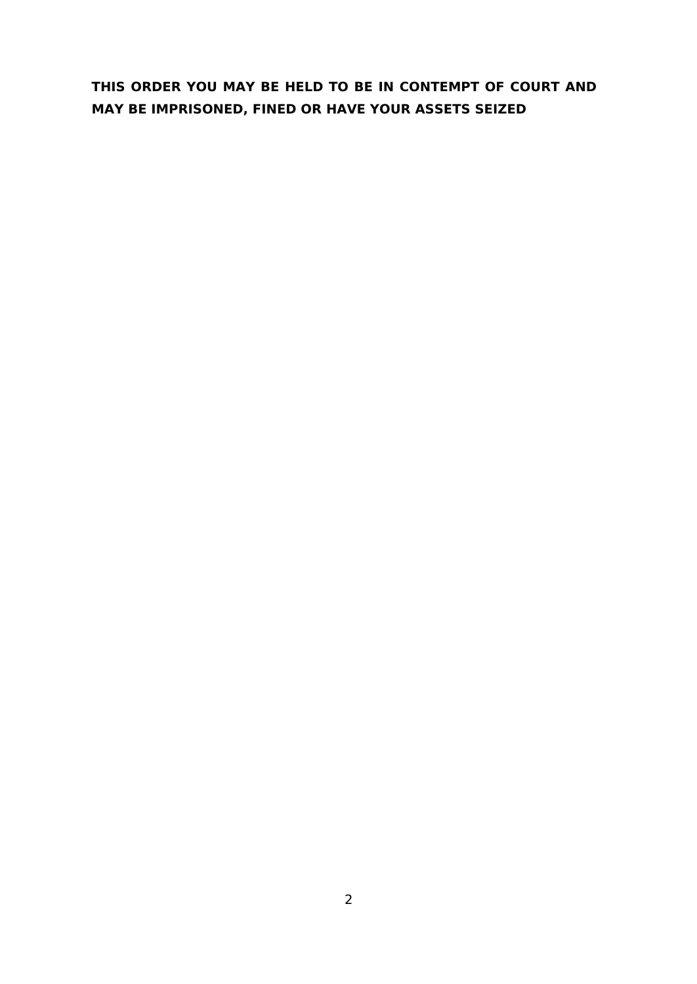# **THIS ORDER YOU MAY BE HELD TO BE IN CONTEMPT OF COURT AND MAY BE IMPRISONED, FINED OR HAVE YOUR ASSETS SEIZED**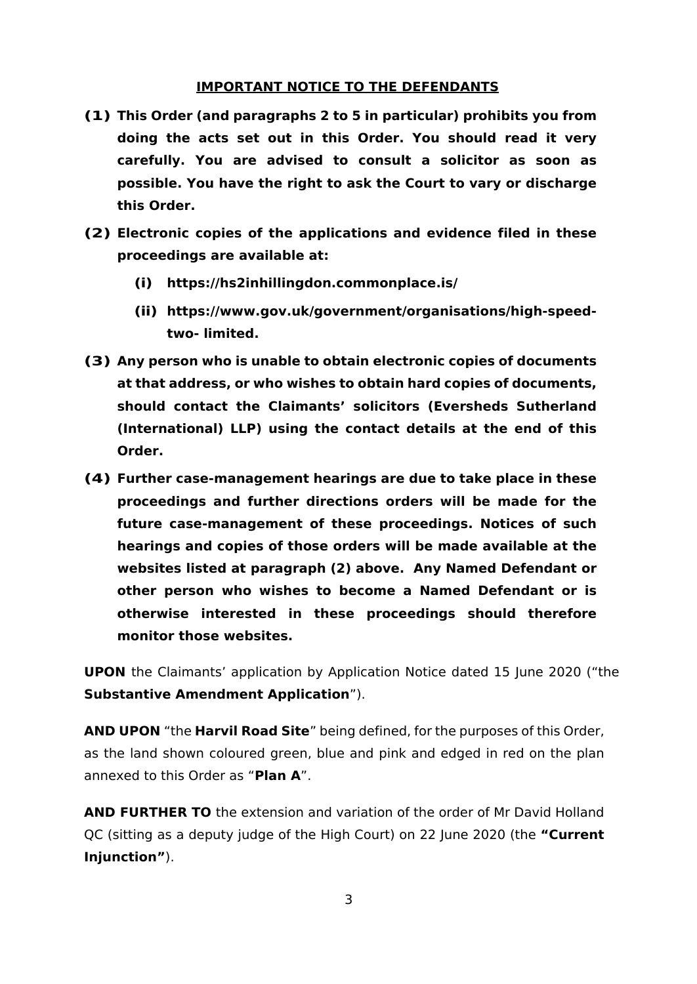#### **IMPORTANT NOTICE TO THE DEFENDANTS**

- **(1) This Order (and paragraphs 2 to 5 in particular) prohibits you from doing the acts set out in this Order. You should read it very carefully. You are advised to consult a solicitor as soon as possible. You have the right to ask the Court to vary or discharge this Order.**
- **(2) Electronic copies of the applications and evidence filed in these proceedings are available at:**
	- **(i) https://hs2inhillingdon.commonplace.is/**
	- **(ii) https://www.gov.uk/g[over](http://www.gov.uk/government/organisations/high-speed-two-)nme[nt/organisations/high-speed](http://www.gov.uk/government/organisations/high-speed-two-)[two-](http://www.gov.uk/government/organisations/high-speed-two-) limited.**
- **(3) Any person who is unable to obtain electronic copies of documents at that address, or who wishes to obtain hard copies of documents, should contact the Claimants' solicitors (Eversheds Sutherland (International) LLP) using the contact details at the end of this Order.**
- **(4) Further case-management hearings are due to take place in these proceedings and further directions orders will be made for the future case-management of these proceedings. Notices of such hearings and copies of those orders will be made available at the websites listed at paragraph (2) above. Any Named Defendant or other person who wishes to become a Named Defendant or is otherwise interested in these proceedings should therefore monitor those websites.**

**UPON** the Claimants' application by Application Notice dated 15 June 2020 ("the **Substantive Amendment Application**").

**AND UPON** "the **Harvil Road Site**" being defined, for the purposes of this Order, as the land shown coloured green, blue and pink and edged in red on the plan annexed to this Order as "**Plan A**".

**AND FURTHER TO** the extension and variation of the order of Mr David Holland QC (sitting as a deputy judge of the High Court) on 22 June 2020 (the **"Current Injunction"**).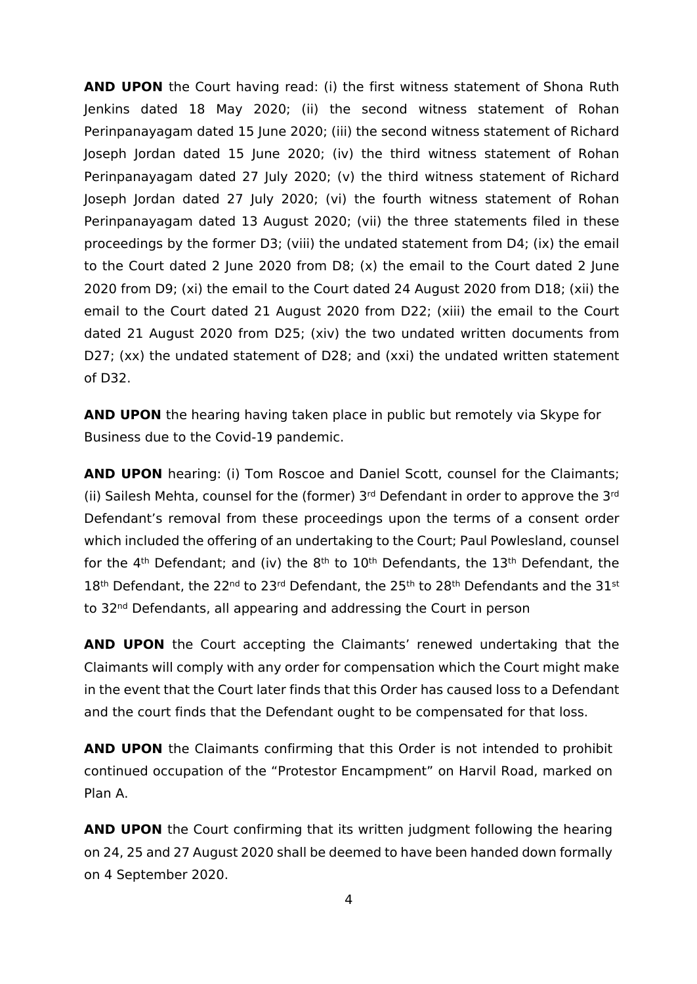**AND UPON** the Court having read: (i) the first witness statement of Shona Ruth Jenkins dated 18 May 2020; (ii) the second witness statement of Rohan Perinpanayagam dated 15 June 2020; (iii) the second witness statement of Richard Joseph Jordan dated 15 June 2020; (iv) the third witness statement of Rohan Perinpanayagam dated 27 July 2020; (v) the third witness statement of Richard Joseph Jordan dated 27 July 2020; (vi) the fourth witness statement of Rohan Perinpanayagam dated 13 August 2020; (vii) the three statements filed in these proceedings by the former D3; (viii) the undated statement from D4; (ix) the email to the Court dated 2 June 2020 from D8;  $(x)$  the email to the Court dated 2 June 2020 from D9; (xi) the email to the Court dated 24 August 2020 from D18; (xii) the email to the Court dated 21 August 2020 from D22; (xiii) the email to the Court dated 21 August 2020 from D25; (xiv) the two undated written documents from D27; (xx) the undated statement of D28; and (xxi) the undated written statement of D32.

**AND UPON** the hearing having taken place in public but remotely via Skype for Business due to the Covid-19 pandemic.

**AND UPON** hearing: (i) Tom Roscoe and Daniel Scott, counsel for the Claimants; (ii) Sailesh Mehta, counsel for the (former)  $3<sup>rd</sup>$  Defendant in order to approve the  $3<sup>rd</sup>$ Defendant's removal from these proceedings upon the terms of a consent order which included the offering of an undertaking to the Court; Paul Powlesland, counsel for the  $4<sup>th</sup>$  Defendant; and (iv) the  $8<sup>th</sup>$  to  $10<sup>th</sup>$  Defendants, the  $13<sup>th</sup>$  Defendant, the  $18$ <sup>th</sup> Defendant, the 22<sup>nd</sup> to 23<sup>rd</sup> Defendant, the 25<sup>th</sup> to 28<sup>th</sup> Defendants and the 31st to 32nd Defendants, all appearing and addressing the Court in person

**AND UPON** the Court accepting the Claimants' renewed undertaking that the Claimants will comply with any order for compensation which the Court might make in the event that the Court later finds that this Order has caused loss to a Defendant and the court finds that the Defendant ought to be compensated for that loss.

**AND UPON** the Claimants confirming that this Order is not intended to prohibit continued occupation of the "Protestor Encampment" on Harvil Road, marked on Plan A.

**AND UPON** the Court confirming that its written judgment following the hearing on 24, 25 and 27 August 2020 shall be deemed to have been handed down formally on 4 September 2020.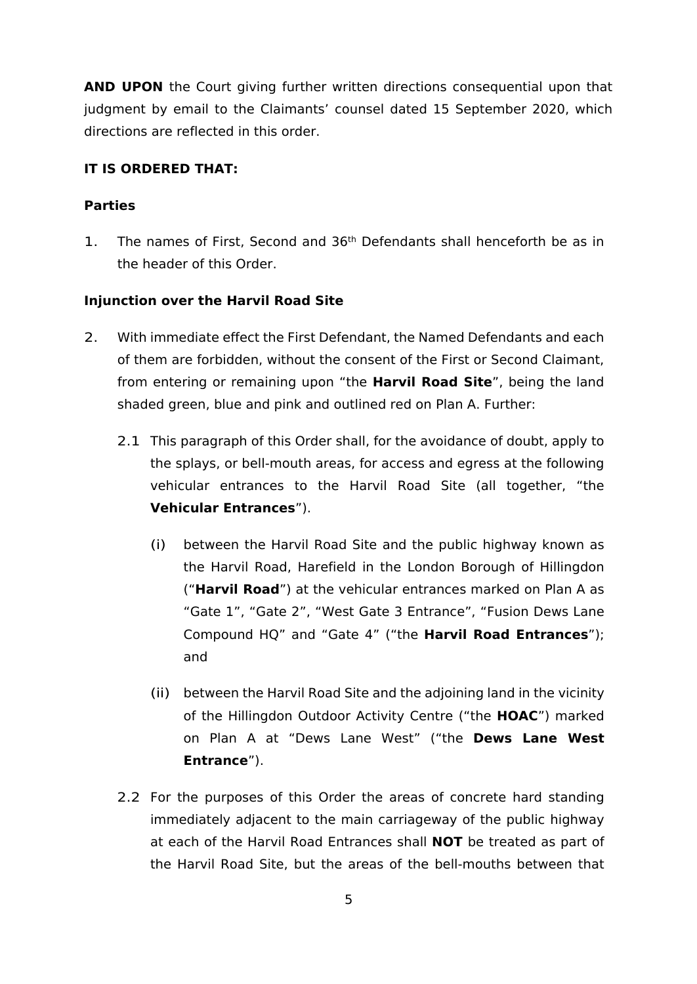**AND UPON** the Court giving further written directions consequential upon that judgment by email to the Claimants' counsel dated 15 September 2020, which directions are reflected in this order.

## **IT IS ORDERED THAT:**

## **Parties**

1. The names of First, Second and 36th Defendants shall henceforth be as in the header of this Order.

## **Injunction over the Harvil Road Site**

- 2. With immediate effect the First Defendant, the Named Defendants and each of them are forbidden, without the consent of the First or Second Claimant, from entering or remaining upon "the **Harvil Road Site**", being the land shaded green, blue and pink and outlined red on Plan A. Further:
	- 2.1 This paragraph of this Order shall, for the avoidance of doubt, apply to the splays, or bell-mouth areas, for access and egress at the following vehicular entrances to the Harvil Road Site (all together, "the **Vehicular Entrances**").
		- (i) between the Harvil Road Site and the public highway known as the Harvil Road, Harefield in the London Borough of Hillingdon ("**Harvil Road**") at the vehicular entrances marked on Plan A as "Gate 1", "Gate 2", "West Gate 3 Entrance", "Fusion Dews Lane Compound HQ" and "Gate 4" ("the **Harvil Road Entrances**"); and
		- (ii) between the Harvil Road Site and the adjoining land in the vicinity of the Hillingdon Outdoor Activity Centre ("the **HOAC**") marked on Plan A at "Dews Lane West" ("the **Dews Lane West Entrance**").
	- 2.2 For the purposes of this Order the areas of concrete hard standing immediately adjacent to the main carriageway of the public highway at each of the Harvil Road Entrances shall **NOT** be treated as part of the Harvil Road Site, but the areas of the bell-mouths between that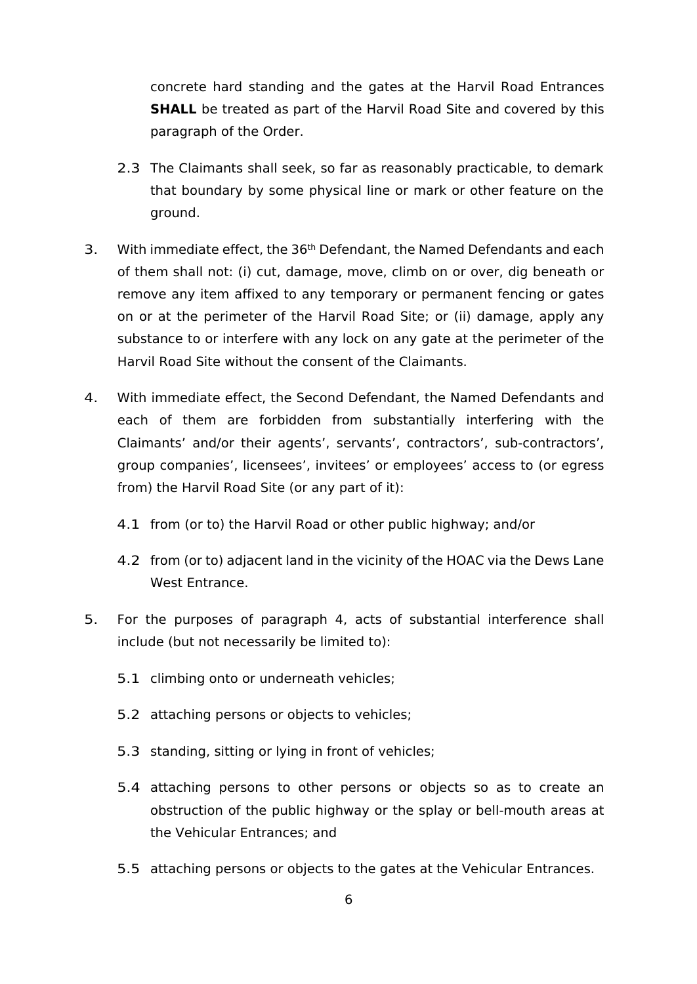concrete hard standing and the gates at the Harvil Road Entrances **SHALL** be treated as part of the Harvil Road Site and covered by this paragraph of the Order.

- 2.3 The Claimants shall seek, so far as reasonably practicable, to demark that boundary by some physical line or mark or other feature on the ground.
- 3. With immediate effect, the  $36<sup>th</sup>$  Defendant, the Named Defendants and each of them shall not: (i) cut, damage, move, climb on or over, dig beneath or remove any item affixed to any temporary or permanent fencing or gates on or at the perimeter of the Harvil Road Site; or (ii) damage, apply any substance to or interfere with any lock on any gate at the perimeter of the Harvil Road Site without the consent of the Claimants.
- 4. With immediate effect, the Second Defendant, the Named Defendants and each of them are forbidden from substantially interfering with the Claimants' and/or their agents', servants', contractors', sub-contractors', group companies', licensees', invitees' or employees' access to (or egress from) the Harvil Road Site (or any part of it):
	- 4.1 from (or to) the Harvil Road or other public highway; and/or
	- 4.2 from (or to) adjacent land in the vicinity of the HOAC via the Dews Lane West Entrance.
- 5. For the purposes of paragraph 4, acts of substantial interference shall include (but not necessarily be limited to):
	- 5.1 climbing onto or underneath vehicles;
	- 5.2 attaching persons or objects to vehicles;
	- 5.3 standing, sitting or lying in front of vehicles;
	- 5.4 attaching persons to other persons or objects so as to create an obstruction of the public highway or the splay or bell-mouth areas at the Vehicular Entrances; and
	- 5.5 attaching persons or objects to the gates at the Vehicular Entrances.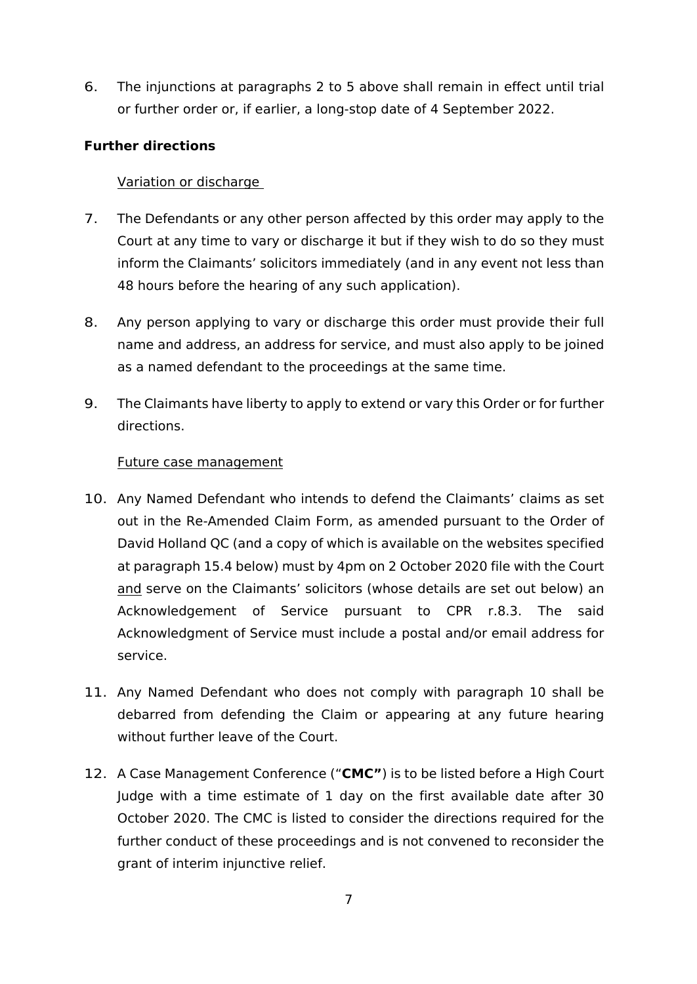6. The injunctions at paragraphs 2 to 5 above shall remain in effect until trial or further order or, if earlier, a long-stop date of 4 September 2022.

# **Further directions**

# Variation or discharge

- 7. The Defendants or any other person affected by this order may apply to the Court at any time to vary or discharge it but if they wish to do so they must inform the Claimants' solicitors immediately (and in any event not less than 48 hours before the hearing of any such application).
- 8. Any person applying to vary or discharge this order must provide their full name and address, an address for service, and must also apply to be joined as a named defendant to the proceedings at the same time.
- 9. The Claimants have liberty to apply to extend or vary this Order or for further directions.

# Future case management

- 10. Any Named Defendant who intends to defend the Claimants' claims as set out in the Re-Amended Claim Form, as amended pursuant to the Order of David Holland QC (and a copy of which is available on the websites specified at paragraph 15.4 below) must by 4pm on 2 October 2020 file with the Court and serve on the Claimants' solicitors (whose details are set out below) an Acknowledgement of Service pursuant to CPR r.8.3. The said Acknowledgment of Service must include a postal and/or email address for service.
- 11. Any Named Defendant who does not comply with paragraph 10 shall be debarred from defending the Claim or appearing at any future hearing without further leave of the Court.
- 12. A Case Management Conference ("**CMC"**) is to be listed before a High Court Judge with a time estimate of 1 day on the first available date after 30 October 2020. The CMC is listed to consider the directions required for the further conduct of these proceedings and is not convened to reconsider the grant of interim injunctive relief.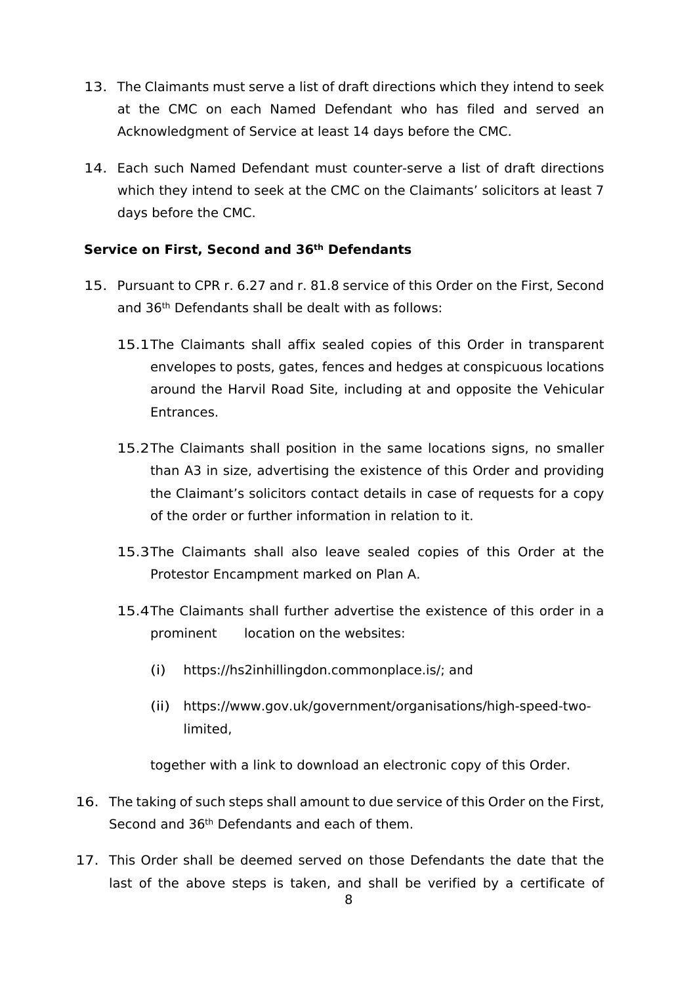- 13. The Claimants must serve a list of draft directions which they intend to seek at the CMC on each Named Defendant who has filed and served an Acknowledgment of Service at least 14 days before the CMC.
- 14. Each such Named Defendant must counter-serve a list of draft directions which they intend to seek at the CMC on the Claimants' solicitors at least 7 days before the CMC.

### **Service on First, Second and 36th Defendants**

- 15. Pursuant to CPR r. 6.27 and r. 81.8 service of this Order on the First, Second and 36th Defendants shall be dealt with as follows:
	- 15.1The Claimants shall affix sealed copies of this Order in transparent envelopes to posts, gates, fences and hedges at conspicuous locations around the Harvil Road Site, including at and opposite the Vehicular Entrances.
	- 15.2The Claimants shall position in the same locations signs, no smaller than A3 in size, advertising the existence of this Order and providing the Claimant's solicitors contact details in case of requests for a copy of the order or further information in relation to it.
	- 15.3The Claimants shall also leave sealed copies of this Order at the Protestor Encampment marked on Plan A.
	- 15.4The Claimants shall further advertise the existence of this order in a prominent location on the websites:
		- (i) https://hs2inhillingdon.commonplace.is/; and
		- (ii) https://[www.gov.uk/government/organisations/high-speed-two](http://www.gov.uk/government/organisations/high-speed-two-limited)[limited,](http://www.gov.uk/government/organisations/high-speed-two-limited)

together with a link to download an electronic copy of this Order.

- 16. The taking of such steps shall amount to due service of this Order on the First, Second and 36th Defendants and each of them.
- 17. This Order shall be deemed served on those Defendants the date that the last of the above steps is taken, and shall be verified by a certificate of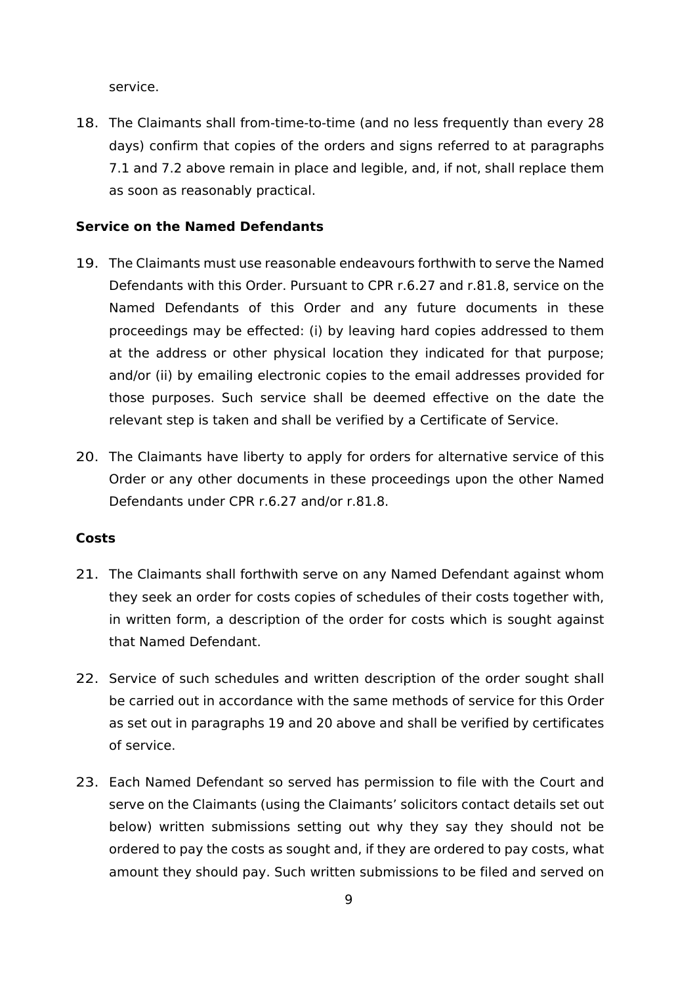service.

18. The Claimants shall from-time-to-time (and no less frequently than every 28 days) confirm that copies of the orders and signs referred to at paragraphs 7.1 and 7.2 above remain in place and legible, and, if not, shall replace them as soon as reasonably practical.

### **Service on the Named Defendants**

- 19. The Claimants must use reasonable endeavours forthwith to serve the Named Defendants with this Order. Pursuant to CPR r.6.27 and r.81.8, service on the Named Defendants of this Order and any future documents in these proceedings may be effected: (i) by leaving hard copies addressed to them at the address or other physical location they indicated for that purpose; and/or (ii) by emailing electronic copies to the email addresses provided for those purposes. Such service shall be deemed effective on the date the relevant step is taken and shall be verified by a Certificate of Service.
- 20. The Claimants have liberty to apply for orders for alternative service of this Order or any other documents in these proceedings upon the other Named Defendants under CPR r.6.27 and/or r.81.8.

### **Costs**

- 21. The Claimants shall forthwith serve on any Named Defendant against whom they seek an order for costs copies of schedules of their costs together with, in written form, a description of the order for costs which is sought against that Named Defendant.
- 22. Service of such schedules and written description of the order sought shall be carried out in accordance with the same methods of service for this Order as set out in paragraphs 19 and 20 above and shall be verified by certificates of service.
- 23. Each Named Defendant so served has permission to file with the Court and serve on the Claimants (using the Claimants' solicitors contact details set out below) written submissions setting out why they say they should not be ordered to pay the costs as sought and, if they are ordered to pay costs, what amount they should pay. Such written submissions to be filed and served on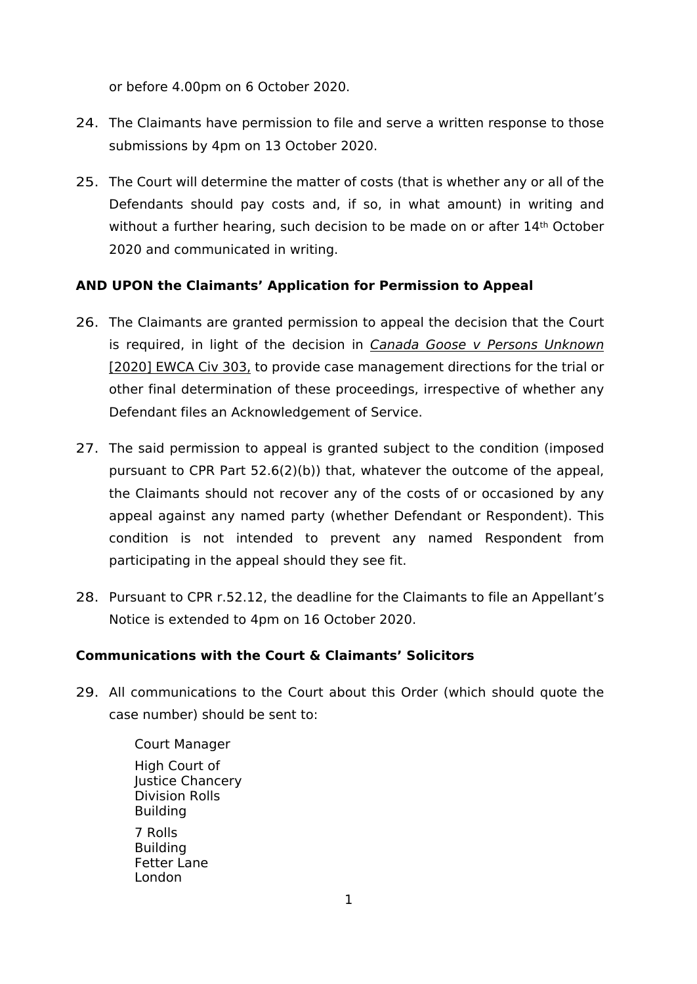or before 4.00pm on 6 October 2020.

- 24. The Claimants have permission to file and serve a written response to those submissions by 4pm on 13 October 2020.
- 25. The Court will determine the matter of costs (that is whether any or all of the Defendants should pay costs and, if so, in what amount) in writing and without a further hearing, such decision to be made on or after 14<sup>th</sup> October 2020 and communicated in writing.

# **AND UPON the Claimants' Application for Permission to Appeal**

- 26. The Claimants are granted permission to appeal the decision that the Court is required, in light of the decision in *Canada Goose v Persons Unknown* [2020] EWCA Civ 303, to provide case management directions for the trial or other final determination of these proceedings, irrespective of whether any Defendant files an Acknowledgement of Service.
- 27. The said permission to appeal is granted subject to the condition (imposed pursuant to CPR Part 52.6(2)(b)) that, whatever the outcome of the appeal, the Claimants should not recover any of the costs of or occasioned by any appeal against any named party (whether Defendant or Respondent). This condition is not intended to prevent any named Respondent from participating in the appeal should they see fit.
- 28. Pursuant to CPR r.52.12, the deadline for the Claimants to file an Appellant's Notice is extended to 4pm on 16 October 2020.

# **Communications with the Court & Claimants' Solicitors**

29. All communications to the Court about this Order (which should quote the case number) should be sent to:

> Court Manager High Court of Justice Chancery Division Rolls Building 7 Rolls **Building** Fetter Lane London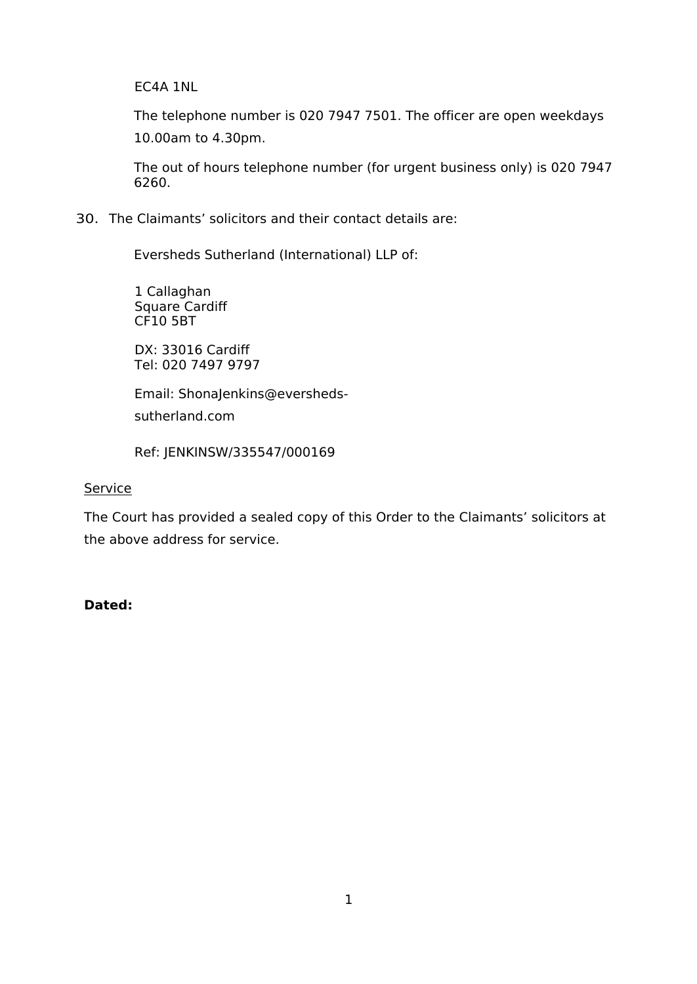EC4A 1NL

The telephone number is 020 7947 7501. The officer are open weekdays 10.00am to 4.30pm.

The out of hours telephone number (for urgent business only) is 020 7947 6260.

### 30. The Claimants' solicitors and their contact details are:

Eversheds Sutherland (International) LLP of:

1 Callaghan Square Cardiff CF10 5BT

DX: 33016 Cardiff Tel: 020 7497 9797

Email: [ShonaJenkins@eversheds-](mailto:ShonaJenkins@eversheds-sutherland.com)

[sutherland.com](mailto:ShonaJenkins@eversheds-sutherland.com)

Ref: JENKINSW/335547/000169

### Service

The Court has provided a sealed copy of this Order to the Claimants' solicitors at the above address for service.

#### **Dated:**